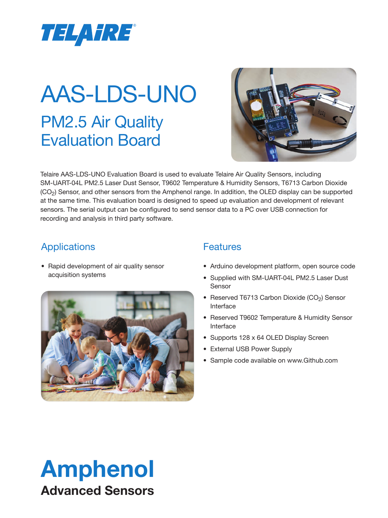

# PM2.5 Air Quality Evaluation Board AAS-LDS-UNO



Telaire AAS-LDS-UNO Evaluation Board is used to evaluate Telaire Air Quality Sensors, including SM-UART-04L PM2.5 Laser Dust Sensor, T9602 Temperature & Humidity Sensors, T6713 Carbon Dioxide (CO2) Sensor, and other sensors from the Amphenol range. In addition, the OLED display can be supported at the same time. This evaluation board is designed to speed up evaluation and development of relevant sensors. The serial output can be configured to send sensor data to a PC over USB connection for recording and analysis in third party software.

### Applications

• Rapid development of air quality sensor acquisition systems



#### **Features**

- Arduino development platform, open source code
- Supplied with SM-UART-04L PM2.5 Laser Dust Sensor
- Reserved T6713 Carbon Dioxide (CO<sub>2</sub>) Sensor Interface
- Reserved T9602 Temperature & Humidity Sensor Interface
- Supports 128 x 64 OLED Display Screen
- External USB Power Supply
- Sample code available on [www.Github.com](http://www.github.com)

### Amphenol Advanced Sensors